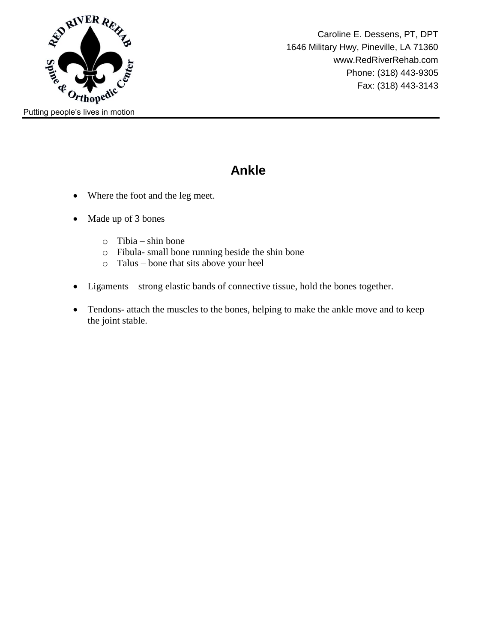

### **Ankle**

- Where the foot and the leg meet.
- Made up of 3 bones
	- o Tibia shin bone
	- o Fibula- small bone running beside the shin bone
	- o Talus bone that sits above your heel
- Ligaments strong elastic bands of connective tissue, hold the bones together.
- Tendons- attach the muscles to the bones, helping to make the ankle move and to keep the joint stable.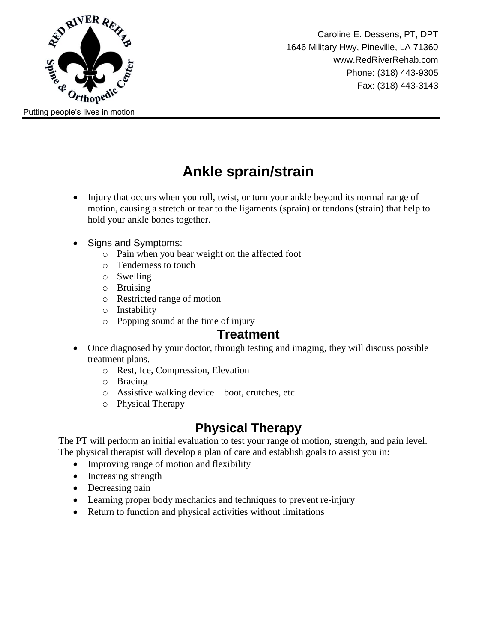

Caroline E. Dessens, PT, DPT 1646 Military Hwy, Pineville, LA 71360 www.RedRiverRehab.com Phone: (318) 443-9305 Fax: (318) 443-3143

## **Ankle sprain/strain**

- Injury that occurs when you roll, twist, or turn your ankle beyond its normal range of motion, causing a stretch or tear to the ligaments (sprain) or tendons (strain) that help to hold your ankle bones together.
- Signs and Symptoms:
	- o Pain when you bear weight on the affected foot
	- o Tenderness to touch
	- o Swelling
	- o Bruising
	- o Restricted range of motion
	- o Instability
	- o Popping sound at the time of injury

#### **Treatment**

- Once diagnosed by your doctor, through testing and imaging, they will discuss possible treatment plans.
	- o Rest, Ice, Compression, Elevation
	- o Bracing
	- o Assistive walking device boot, crutches, etc.
	- o Physical Therapy

### **Physical Therapy**

The PT will perform an initial evaluation to test your range of motion, strength, and pain level. The physical therapist will develop a plan of care and establish goals to assist you in:

- Improving range of motion and flexibility
- Increasing strength
- Decreasing pain
- Learning proper body mechanics and techniques to prevent re-injury
- Return to function and physical activities without limitations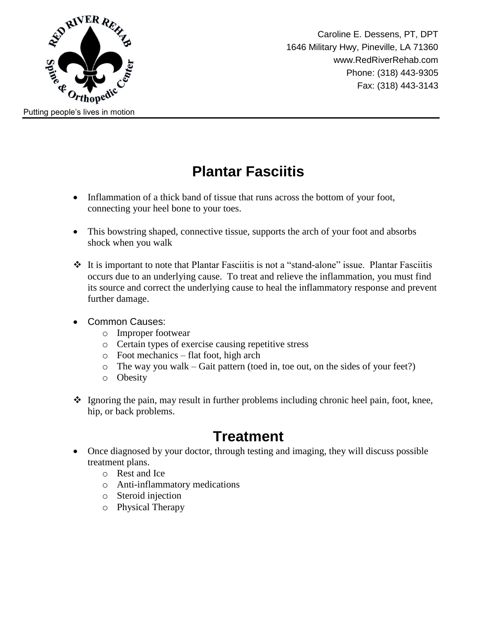

### **Plantar Fasciitis**

- Inflammation of a thick band of tissue that runs across the bottom of your foot, connecting your heel bone to your toes.
- This bowstring shaped, connective tissue, supports the arch of your foot and absorbs shock when you walk
- $\triangle$  It is important to note that Plantar Fasciitis is not a "stand-alone" issue. Plantar Fasciitis occurs due to an underlying cause. To treat and relieve the inflammation, you must find its source and correct the underlying cause to heal the inflammatory response and prevent further damage.
- Common Causes:
	- o Improper footwear
	- o Certain types of exercise causing repetitive stress
	- o Foot mechanics flat foot, high arch
	- o The way you walk Gait pattern (toed in, toe out, on the sides of your feet?)
	- o Obesity
- $\div$  Ignoring the pain, may result in further problems including chronic heel pain, foot, knee, hip, or back problems.

## **Treatment**

- Once diagnosed by your doctor, through testing and imaging, they will discuss possible treatment plans.
	- o Rest and Ice
	- o Anti-inflammatory medications
	- o Steroid injection
	- o Physical Therapy